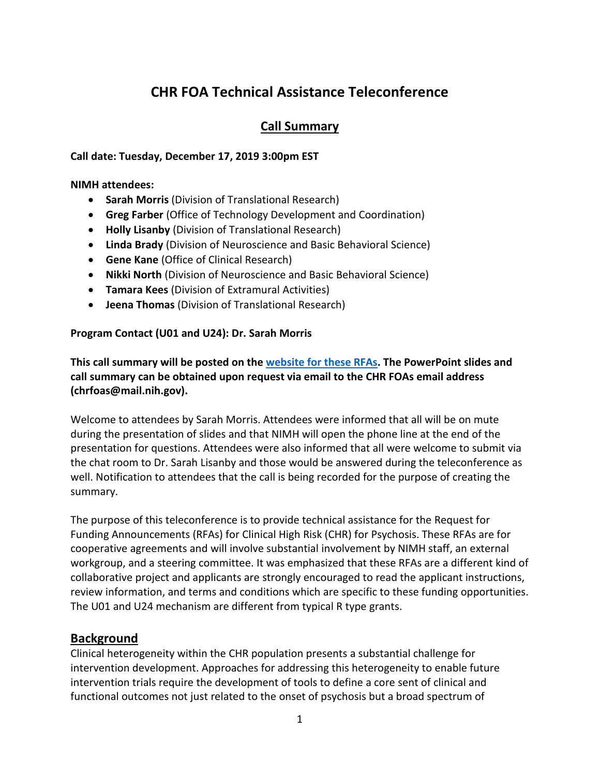# **CHR FOA Technical Assistance Teleconference**

# **Call Summary**

#### **Call date: Tuesday, December 17, 2019 3:00pm EST**

#### **NIMH attendees:**

- **Sarah Morris** (Division of Translational Research)
- **Greg Farber** (Office of Technology Development and Coordination)
- **Holly Lisanby** (Division of Translational Research)
- **Linda Brady** (Division of Neuroscience and Basic Behavioral Science)
- **Gene Kane** (Office of Clinical Research)
- **Nikki North** (Division of Neuroscience and Basic Behavioral Science)
- **Tamara Kees** (Division of Extramural Activities)
- **Jeena Thomas** (Division of Translational Research)

#### **Program Contact (U01 and U24): Dr. Sarah Morris**

**This call summary will be posted on the [website for these RFAs.](https://www.nimh.nih.gov/funding/opportunities-announcements/clinical-high-risk-for-psychosis.shtml) The PowerPoint slides and call summary can be obtained upon request via email to the CHR FOAs email address (chrfoas@mail.nih.gov).**

Welcome to attendees by Sarah Morris. Attendees were informed that all will be on mute during the presentation of slides and that NIMH will open the phone line at the end of the presentation for questions. Attendees were also informed that all were welcome to submit via the chat room to Dr. Sarah Lisanby and those would be answered during the teleconference as well. Notification to attendees that the call is being recorded for the purpose of creating the summary.

The purpose of this teleconference is to provide technical assistance for the Request for Funding Announcements (RFAs) for Clinical High Risk (CHR) for Psychosis. These RFAs are for cooperative agreements and will involve substantial involvement by NIMH staff, an external workgroup, and a steering committee. It was emphasized that these RFAs are a different kind of collaborative project and applicants are strongly encouraged to read the applicant instructions, review information, and terms and conditions which are specific to these funding opportunities. The U01 and U24 mechanism are different from typical R type grants.

# **Background**

Clinical heterogeneity within the CHR population presents a substantial challenge for intervention development. Approaches for addressing this heterogeneity to enable future intervention trials require the development of tools to define a core sent of clinical and functional outcomes not just related to the onset of psychosis but a broad spectrum of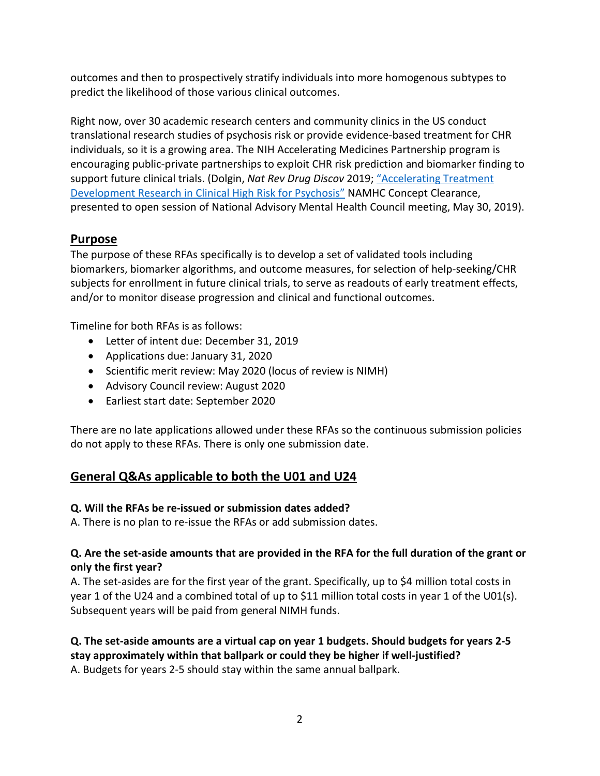outcomes and then to prospectively stratify individuals into more homogenous subtypes to predict the likelihood of those various clinical outcomes.

Right now, over 30 academic research centers and community clinics in the US conduct translational research studies of psychosis risk or provide evidence-based treatment for CHR individuals, so it is a growing area. The NIH Accelerating Medicines Partnership program is encouraging public-private partnerships to exploit CHR risk prediction and biomarker finding to support future clinical trials. (Dolgin, *Nat Rev Drug Discov* 2019; ["Accelerating Treatment](https://www.nimh.nih.gov/funding/grant-writing-and-application-process/concept-clearances/2019/accelerating-treatment-development-research-in-clinical-high-risk-for-psychosis.shtml)  [Development Research in Clinical High Risk for Psychosis"](https://www.nimh.nih.gov/funding/grant-writing-and-application-process/concept-clearances/2019/accelerating-treatment-development-research-in-clinical-high-risk-for-psychosis.shtml) NAMHC Concept Clearance, presented to open session of National Advisory Mental Health Council meeting, May 30, 2019).

# **Purpose**

The purpose of these RFAs specifically is to develop a set of validated tools including biomarkers, biomarker algorithms, and outcome measures, for selection of help-seeking/CHR subjects for enrollment in future clinical trials, to serve as readouts of early treatment effects, and/or to monitor disease progression and clinical and functional outcomes.

Timeline for both RFAs is as follows:

- Letter of intent due: December 31, 2019
- Applications due: January 31, 2020
- Scientific merit review: May 2020 (locus of review is NIMH)
- Advisory Council review: August 2020
- Earliest start date: September 2020

There are no late applications allowed under these RFAs so the continuous submission policies do not apply to these RFAs. There is only one submission date.

# **General Q&As applicable to both the U01 and U24**

# **Q. Will the RFAs be re-issued or submission dates added?**

A. There is no plan to re-issue the RFAs or add submission dates.

#### **Q. Are the set-aside amounts that are provided in the RFA for the full duration of the grant or only the first year?**

A. The set-asides are for the first year of the grant. Specifically, up to \$4 million total costs in year 1 of the U24 and a combined total of up to \$11 million total costs in year 1 of the U01(s). Subsequent years will be paid from general NIMH funds.

#### **Q. The set-aside amounts are a virtual cap on year 1 budgets. Should budgets for years 2-5 stay approximately within that ballpark or could they be higher if well-justified?**

A. Budgets for years 2-5 should stay within the same annual ballpark.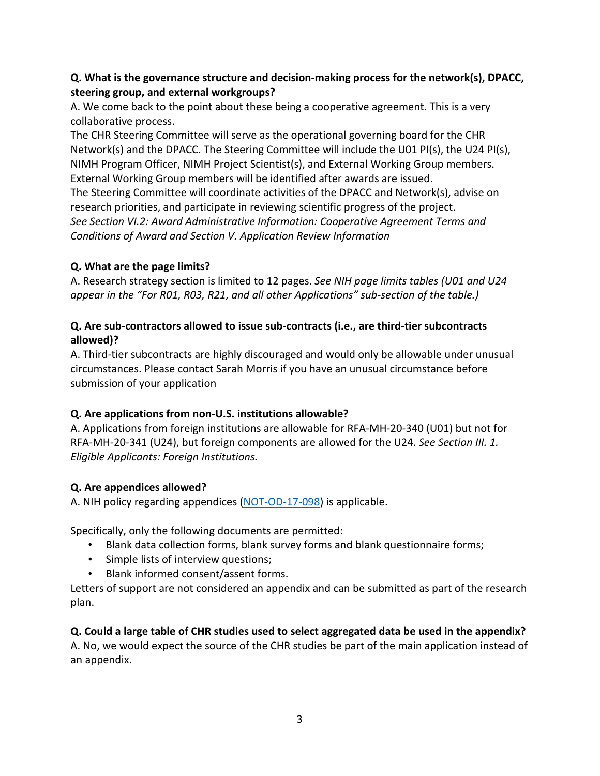## **Q. What is the governance structure and decision-making process for the network(s), DPACC, steering group, and external workgroups?**

A. We come back to the point about these being a cooperative agreement. This is a very collaborative process.

The CHR Steering Committee will serve as the operational governing board for the CHR Network(s) and the DPACC. The Steering Committee will include the U01 PI(s), the U24 PI(s), NIMH Program Officer, NIMH Project Scientist(s), and External Working Group members. External Working Group members will be identified after awards are issued. The Steering Committee will coordinate activities of the DPACC and Network(s), advise on research priorities, and participate in reviewing scientific progress of the project. *See Section VI.2: Award Administrative Information: Cooperative Agreement Terms and Conditions of Award and Section V. Application Review Information*

#### **Q. What are the page limits?**

A. Research strategy section is limited to 12 pages. *See NIH page limits tables (U01 and U24 appear in the "For R01, R03, R21, and all other Applications" sub-section of the table.)*

#### **Q. Are sub-contractors allowed to issue sub-contracts (i.e., are third-tier subcontracts allowed)?**

A. Third-tier subcontracts are highly discouraged and would only be allowable under unusual circumstances. Please contact Sarah Morris if you have an unusual circumstance before submission of your application

# **Q. Are applications from non-U.S. institutions allowable?**

A. Applications from foreign institutions are allowable for RFA-MH-20-340 (U01) but not for RFA-MH-20-341 (U24), but foreign components are allowed for the U24. *See Section III. 1. Eligible Applicants: Foreign Institutions.*

# **Q. Are appendices allowed?**

A. NIH policy regarding appendices [\(NOT-OD-17-098\)](https://grants.nih.gov/grants/guide/notice-files/NOT-OD-17-098.html) is applicable.

Specifically, only the following documents are permitted:

- Blank data collection forms, blank survey forms and blank questionnaire forms;
- Simple lists of interview questions;
- Blank informed consent/assent forms.

Letters of support are not considered an appendix and can be submitted as part of the research plan.

**Q. Could a large table of CHR studies used to select aggregated data be used in the appendix?**  A. No, we would expect the source of the CHR studies be part of the main application instead of an appendix.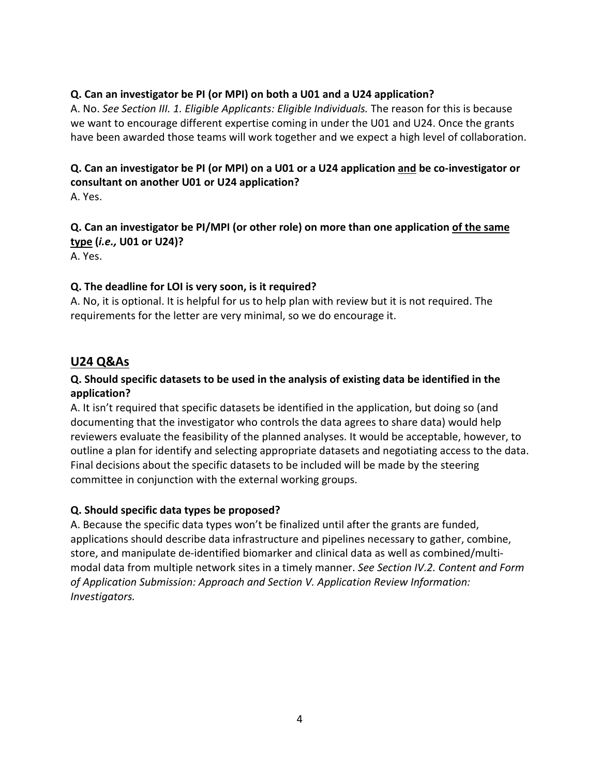#### **Q. Can an investigator be PI (or MPI) on both a U01 and a U24 application?**

A. No. *See Section III. 1. Eligible Applicants: Eligible Individuals.* The reason for this is because we want to encourage different expertise coming in under the U01 and U24. Once the grants have been awarded those teams will work together and we expect a high level of collaboration.

# **Q. Can an investigator be PI (or MPI) on a U01 or a U24 application and be co-investigator or consultant on another U01 or U24 application?**

A. Yes.

## **Q. Can an investigator be PI/MPI (or other role) on more than one application of the same type (***i.e.,* **U01 or U24)?**

A. Yes.

#### **Q. The deadline for LOI is very soon, is it required?**

A. No, it is optional. It is helpful for us to help plan with review but it is not required. The requirements for the letter are very minimal, so we do encourage it.

# **U24 Q&As**

## **Q. Should specific datasets to be used in the analysis of existing data be identified in the application?**

A. It isn't required that specific datasets be identified in the application, but doing so (and documenting that the investigator who controls the data agrees to share data) would help reviewers evaluate the feasibility of the planned analyses. It would be acceptable, however, to outline a plan for identify and selecting appropriate datasets and negotiating access to the data. Final decisions about the specific datasets to be included will be made by the steering committee in conjunction with the external working groups.

#### **Q. Should specific data types be proposed?**

A. Because the specific data types won't be finalized until after the grants are funded, applications should describe data infrastructure and pipelines necessary to gather, combine, store, and manipulate de-identified biomarker and clinical data as well as combined/multimodal data from multiple network sites in a timely manner. *See Section IV.2. Content and Form of Application Submission: Approach and Section V. Application Review Information: Investigators.*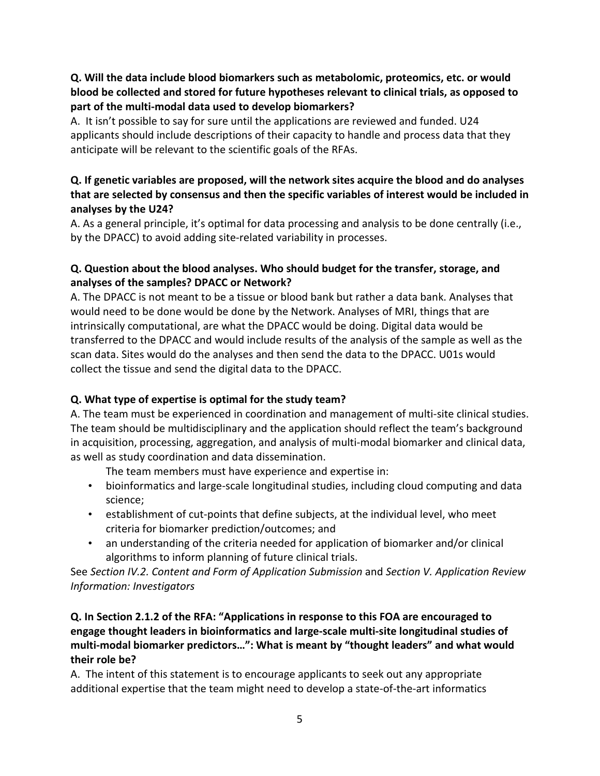## **Q. Will the data include blood biomarkers such as metabolomic, proteomics, etc. or would blood be collected and stored for future hypotheses relevant to clinical trials, as opposed to part of the multi-modal data used to develop biomarkers?**

A. It isn't possible to say for sure until the applications are reviewed and funded. U24 applicants should include descriptions of their capacity to handle and process data that they anticipate will be relevant to the scientific goals of the RFAs.

## **Q. If genetic variables are proposed, will the network sites acquire the blood and do analyses that are selected by consensus and then the specific variables of interest would be included in analyses by the U24?**

A. As a general principle, it's optimal for data processing and analysis to be done centrally (i.e., by the DPACC) to avoid adding site-related variability in processes.

## **Q. Question about the blood analyses. Who should budget for the transfer, storage, and analyses of the samples? DPACC or Network?**

A. The DPACC is not meant to be a tissue or blood bank but rather a data bank. Analyses that would need to be done would be done by the Network. Analyses of MRI, things that are intrinsically computational, are what the DPACC would be doing. Digital data would be transferred to the DPACC and would include results of the analysis of the sample as well as the scan data. Sites would do the analyses and then send the data to the DPACC. U01s would collect the tissue and send the digital data to the DPACC.

# **Q. What type of expertise is optimal for the study team?**

A. The team must be experienced in coordination and management of multi-site clinical studies. The team should be multidisciplinary and the application should reflect the team's background in acquisition, processing, aggregation, and analysis of multi-modal biomarker and clinical data, as well as study coordination and data dissemination.

The team members must have experience and expertise in:

- bioinformatics and large-scale longitudinal studies, including cloud computing and data science;
- establishment of cut-points that define subjects, at the individual level, who meet criteria for biomarker prediction/outcomes; and
- an understanding of the criteria needed for application of biomarker and/or clinical algorithms to inform planning of future clinical trials.

See *Section IV.2. Content and Form of Application Submission* and *Section V. Application Review Information: Investigators*

# **Q. In Section 2.1.2 of the RFA: "Applications in response to this FOA are encouraged to engage thought leaders in bioinformatics and large-scale multi-site longitudinal studies of multi-modal biomarker predictors…": What is meant by "thought leaders" and what would their role be?**

A. The intent of this statement is to encourage applicants to seek out any appropriate additional expertise that the team might need to develop a state-of-the-art informatics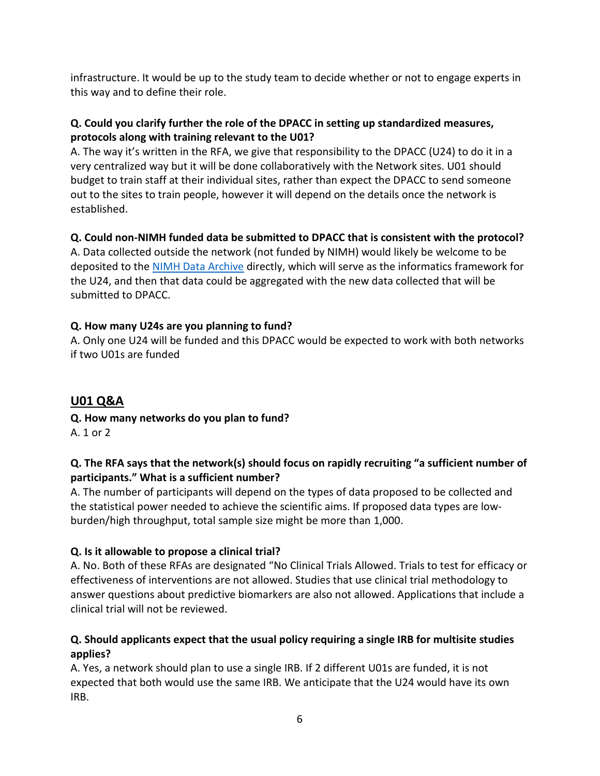infrastructure. It would be up to the study team to decide whether or not to engage experts in this way and to define their role.

## **Q. Could you clarify further the role of the DPACC in setting up standardized measures, protocols along with training relevant to the U01?**

A. The way it's written in the RFA, we give that responsibility to the DPACC (U24) to do it in a very centralized way but it will be done collaboratively with the Network sites. U01 should budget to train staff at their individual sites, rather than expect the DPACC to send someone out to the sites to train people, however it will depend on the details once the network is established.

# **Q. Could non-NIMH funded data be submitted to DPACC that is consistent with the protocol?**

A. Data collected outside the network (not funded by NIMH) would likely be welcome to be deposited to the [NIMH Data Archive](https://nda.nih.gov/) directly, which will serve as the informatics framework for the U24, and then that data could be aggregated with the new data collected that will be submitted to DPACC.

# **Q. How many U24s are you planning to fund?**

A. Only one U24 will be funded and this DPACC would be expected to work with both networks if two U01s are funded

# **U01 Q&A**

**Q. How many networks do you plan to fund?** A. 1 or 2

# **Q. The RFA says that the network(s) should focus on rapidly recruiting "a sufficient number of participants." What is a sufficient number?**

A. The number of participants will depend on the types of data proposed to be collected and the statistical power needed to achieve the scientific aims. If proposed data types are lowburden/high throughput, total sample size might be more than 1,000.

# **Q. Is it allowable to propose a clinical trial?**

A. No. Both of these RFAs are designated "No Clinical Trials Allowed. Trials to test for efficacy or effectiveness of interventions are not allowed. Studies that use clinical trial methodology to answer questions about predictive biomarkers are also not allowed. Applications that include a clinical trial will not be reviewed.

# **Q. Should applicants expect that the usual policy requiring a single IRB for multisite studies applies?**

A. Yes, a network should plan to use a single IRB. If 2 different U01s are funded, it is not expected that both would use the same IRB. We anticipate that the U24 would have its own IRB.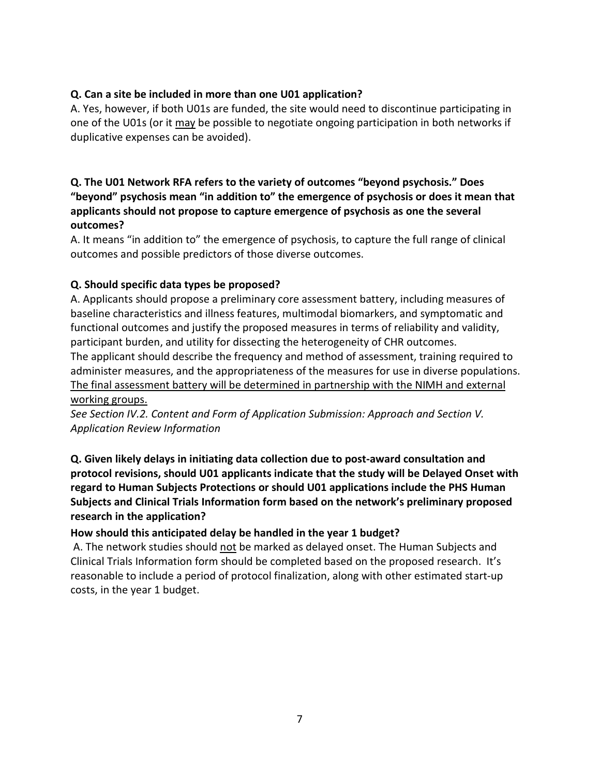#### **Q. Can a site be included in more than one U01 application?**

A. Yes, however, if both U01s are funded, the site would need to discontinue participating in one of the U01s (or it may be possible to negotiate ongoing participation in both networks if duplicative expenses can be avoided).

## **Q. The U01 Network RFA refers to the variety of outcomes "beyond psychosis." Does "beyond" psychosis mean "in addition to" the emergence of psychosis or does it mean that applicants should not propose to capture emergence of psychosis as one the several outcomes?**

A. It means "in addition to" the emergence of psychosis, to capture the full range of clinical outcomes and possible predictors of those diverse outcomes.

#### **Q. Should specific data types be proposed?**

A. Applicants should propose a preliminary core assessment battery, including measures of baseline characteristics and illness features, multimodal biomarkers, and symptomatic and functional outcomes and justify the proposed measures in terms of reliability and validity, participant burden, and utility for dissecting the heterogeneity of CHR outcomes. The applicant should describe the frequency and method of assessment, training required to administer measures, and the appropriateness of the measures for use in diverse populations. The final assessment battery will be determined in partnership with the NIMH and external

#### working groups.

*See Section IV.2. Content and Form of Application Submission: Approach and Section V. Application Review Information*

**Q. Given likely delays in initiating data collection due to post-award consultation and protocol revisions, should U01 applicants indicate that the study will be Delayed Onset with regard to Human Subjects Protections or should U01 applications include the PHS Human Subjects and Clinical Trials Information form based on the network's preliminary proposed research in the application?**

#### **How should this anticipated delay be handled in the year 1 budget?**

A. The network studies should not be marked as delayed onset. The Human Subjects and Clinical Trials Information form should be completed based on the proposed research. It's reasonable to include a period of protocol finalization, along with other estimated start-up costs, in the year 1 budget.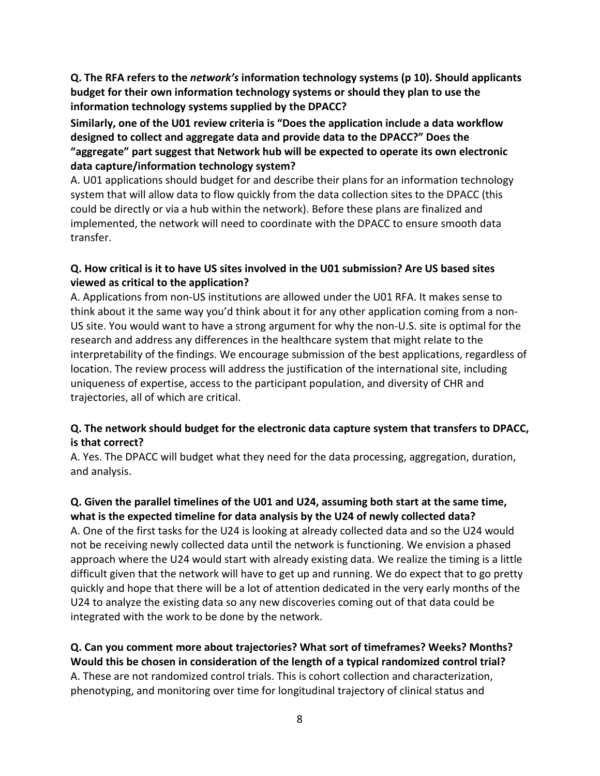**Q. The RFA refers to the** *network's* **information technology systems (p 10). Should applicants budget for their own information technology systems or should they plan to use the information technology systems supplied by the DPACC?**

**Similarly, one of the U01 review criteria is "Does the application include a data workflow designed to collect and aggregate data and provide data to the DPACC?" Does the "aggregate" part suggest that Network hub will be expected to operate its own electronic data capture/information technology system?**

A. U01 applications should budget for and describe their plans for an information technology system that will allow data to flow quickly from the data collection sites to the DPACC (this could be directly or via a hub within the network). Before these plans are finalized and implemented, the network will need to coordinate with the DPACC to ensure smooth data transfer.

#### **Q. How critical is it to have US sites involved in the U01 submission? Are US based sites viewed as critical to the application?**

A. Applications from non-US institutions are allowed under the U01 RFA. It makes sense to think about it the same way you'd think about it for any other application coming from a non-US site. You would want to have a strong argument for why the non-U.S. site is optimal for the research and address any differences in the healthcare system that might relate to the interpretability of the findings. We encourage submission of the best applications, regardless of location. The review process will address the justification of the international site, including uniqueness of expertise, access to the participant population, and diversity of CHR and trajectories, all of which are critical.

# **Q. The network should budget for the electronic data capture system that transfers to DPACC, is that correct?**

A. Yes. The DPACC will budget what they need for the data processing, aggregation, duration, and analysis.

#### **Q. Given the parallel timelines of the U01 and U24, assuming both start at the same time, what is the expected timeline for data analysis by the U24 of newly collected data?**

A. One of the first tasks for the U24 is looking at already collected data and so the U24 would not be receiving newly collected data until the network is functioning. We envision a phased approach where the U24 would start with already existing data. We realize the timing is a little difficult given that the network will have to get up and running. We do expect that to go pretty quickly and hope that there will be a lot of attention dedicated in the very early months of the U24 to analyze the existing data so any new discoveries coming out of that data could be integrated with the work to be done by the network.

# **Q. Can you comment more about trajectories? What sort of timeframes? Weeks? Months? Would this be chosen in consideration of the length of a typical randomized control trial?** A. These are not randomized control trials. This is cohort collection and characterization, phenotyping, and monitoring over time for longitudinal trajectory of clinical status and